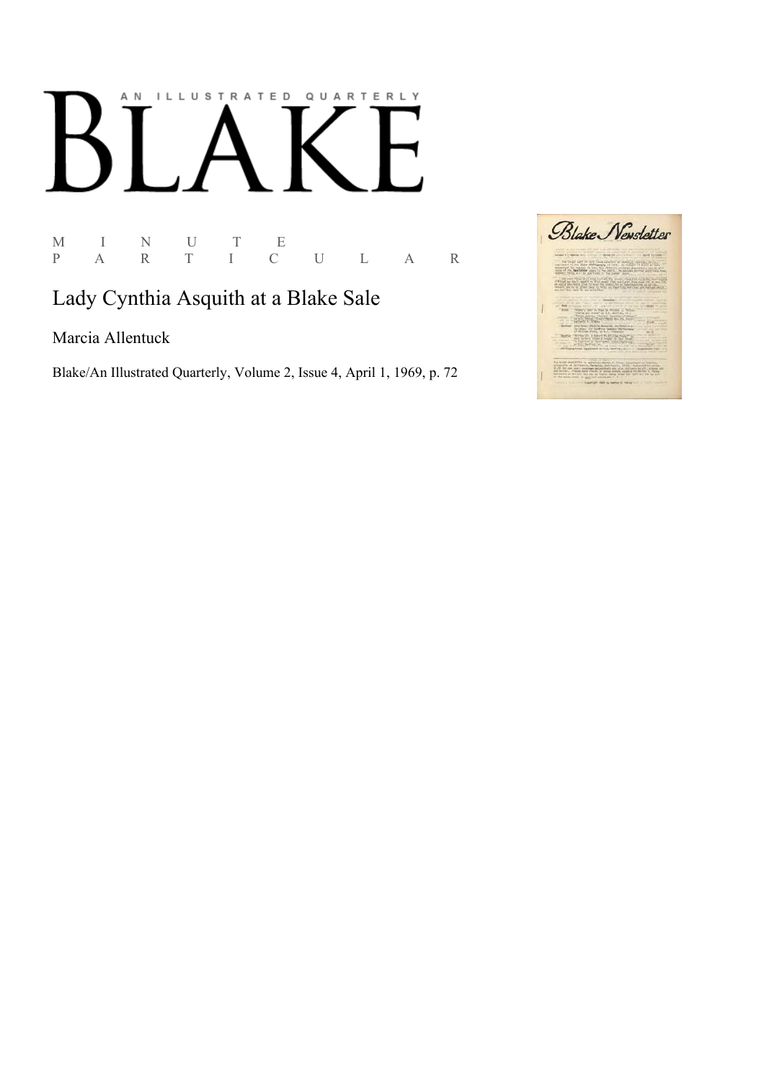## AN ILLUSTRATED QUARTERLY

 $\begin{array}{ccccccccc} \textbf{M} & & \textbf{I} & & \textbf{N} & & \textbf{U} & & \textbf{T} & & \textbf{E} \\ \textbf{P} & & \textbf{A} & & \textbf{R} & & \textbf{T} & & \textbf{I} & & \textbf{C} \end{array}$ P A R T I C U L A R

## Lady Cynthia Asquith at a Blake Sale

Marcia Allentuck

Blake/An Illustrated Quarterly, Volume 2, Issue 4, April 1, 1969, p. 72